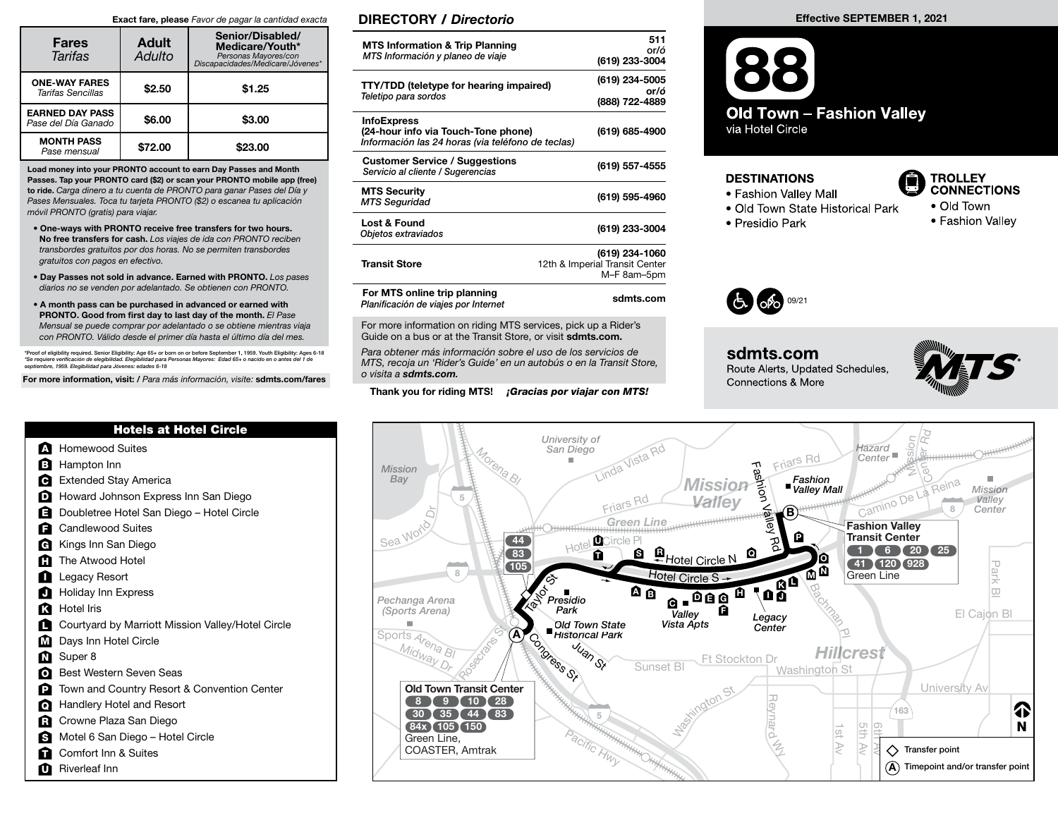## Exact fare, please Favor de pagar la cantidad exacta

| <b>Fares</b><br>Tarifas                       | <b>Adult</b><br>Adulto | Senior/Disabled/<br>Medicare/Youth*<br>Personas Mayores/con<br>Discapacidades/Medicare/Jóvenes* |  |  |
|-----------------------------------------------|------------------------|-------------------------------------------------------------------------------------------------|--|--|
| <b>ONE-WAY FARES</b><br>Tarifas Sencillas     | \$2.50                 | \$1.25                                                                                          |  |  |
| <b>EARNED DAY PASS</b><br>Pase del Día Ganado | \$6.00                 | \$3.00                                                                                          |  |  |
| <b>MONTH PASS</b><br>Pase mensual             | \$72.00                | \$23.00                                                                                         |  |  |

Load money into your PRONTO account to earn Day Passes and Month Passes. Tap your PRONTO card (\$2) or scan your PRONTO mobile app (free) to ride. Carga dinero a tu cuenta de PRONTO para ganar Pases del Día y Pases Mensuales. Toca tu tarjeta PRONTO (\$2) o escanea tu aplicación móvil PRONTO (gratis) para viajar.

- One-ways with PRONTO receive free transfers for two hours. No free transfers for cash. Los viajes de ida con PRONTO reciben transbordes gratuitos por dos horas. No se permiten transbordes gratuitos con pagos en efectivo.
- Day Passes not sold in advance. Earned with PRONTO. Los pases diarios no se venden por adelantado. Se obtienen con PRONTO.
- A month pass can be purchased in advanced or earned with PRONTO. Good from first day to last day of the month. El Pase Mensual se puede comprar por adelantado o se obtiene mientras viaja con PRONTO. Válido desde el primer día hasta el último día del mes.

\*Proof of eligibility required. Senior Eligibility: Age 65+ or born on or before September 1, 1959. Youth Eligibility: Ages 6-18<br>\*Se requiere verificación de elegibilidad. Elegibilidad para Personas Mayores: Edad 65+ o na

For more information, visit: / Para más información, visite: sdmts.com/fares

|  | <b>Hotels at Hotel Circle</b> |
|--|-------------------------------|
|  |                               |
|  |                               |

- **A** Homewood Suites
- **B** Hampton Inn
- **Extended Stay America**
- **D** Howard Johnson Express Inn San Diego
- **E** Doubletree Hotel San Diego Hotel Circle
- Candlewood Suites A
- Kings Inn San Diego G
- The Atwood Hotel M
- Legacy Resort I
- Holiday Inn Express A
- Hotel Iris K
- Courtyard by Marriott Mission Valley/Hotel Circle A
- Days Inn Hotel Circle  $\blacksquare$
- Super 8 N
- Best Western Seven Seas O
- Town and Country Resort & Convention Center P
- Handlery Hotel and Resort Q
- Crowne Plaza San Diego R
- **S** Motel 6 San Diego Hotel Circle
- **Comfort Inn & Suites**
- **D** Riverleaf Inn

## DIRECTORY / Directorio

| <b>MTS Information &amp; Trip Planning</b><br>MTS Información y planeo de viaje                                | 511<br>or/ó<br>(619) 233-3004                                   |
|----------------------------------------------------------------------------------------------------------------|-----------------------------------------------------------------|
| <b>TTY/TDD (teletype for hearing impaired)</b><br>Teletipo para sordos                                         | (619) 234-5005<br>or/ó<br>(888) 722-4889                        |
| <b>InfoExpress</b><br>(24-hour info via Touch-Tone phone)<br>Información las 24 horas (via teléfono de teclas) | (619) 685-4900                                                  |
| <b>Customer Service / Suggestions</b><br>Servicio al cliente / Sugerencias                                     | (619) 557-4555                                                  |
| <b>MTS Security</b><br><b>MTS Seguridad</b>                                                                    | (619) 595-4960                                                  |
| Lost & Found<br>Objetos extraviados                                                                            | (619) 233-3004                                                  |
| <b>Transit Store</b>                                                                                           | (619) 234-1060<br>12th & Imperial Transit Center<br>M-F 8am-5pm |
| For MTS online trip planning<br>Planificación de viajes por Internet                                           | sdmts.com                                                       |

For more information on riding MTS services, pick up a Rider's Guide on a bus or at the Transit Store, or visit sdmts.com.

Para obtener más información sobre el uso de los servicios de MTS, recoja un 'Rider's Guide' en un autobús o en la Transit Store, o visita a sdmts.com.

Thank you for riding MTS! **¡Gracias por viajar con MTS!** 

## **Old Town - Fashion Valley** via Hotel Circle

## **DESTINATIONS**

- Fashion Valley Mall
- Old Town State Historical Park
- 

**TROLLEY CONNECTIONS** • Old Town

• Fashion Valley

Effective SEPTEMBER 1, 2021

· Presidio Park



sdmts.com Route Alerts, Updated Schedules, **Connections & More**